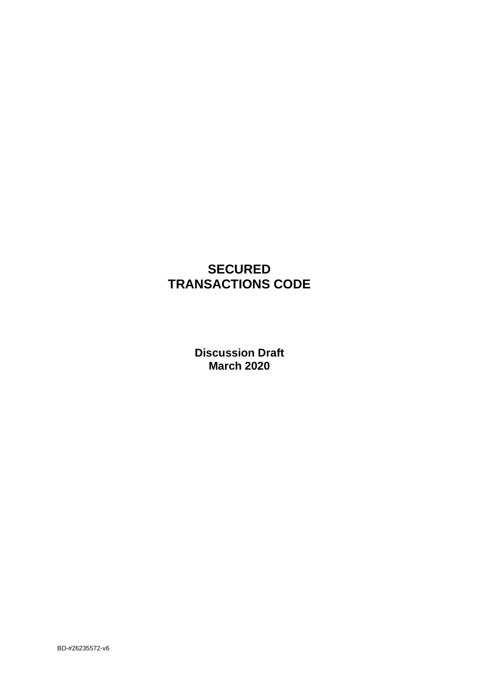# **SECURED TRANSACTIONS CODE**

**Discussion Draft March 2020**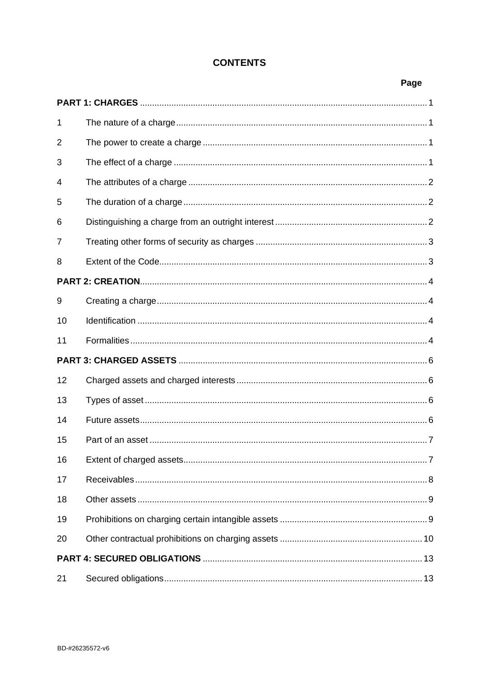# **CONTENTS**

| 1              |  |  |  |
|----------------|--|--|--|
| $\overline{2}$ |  |  |  |
| 3              |  |  |  |
| 4              |  |  |  |
| 5              |  |  |  |
| 6              |  |  |  |
| 7              |  |  |  |
| 8              |  |  |  |
|                |  |  |  |
| 9              |  |  |  |
| 10             |  |  |  |
| 11             |  |  |  |
|                |  |  |  |
| 12             |  |  |  |
| 13             |  |  |  |
| 14             |  |  |  |
| 15             |  |  |  |
| 16             |  |  |  |
| 17             |  |  |  |
| 18             |  |  |  |
| 19             |  |  |  |
| 20             |  |  |  |
|                |  |  |  |
| 21             |  |  |  |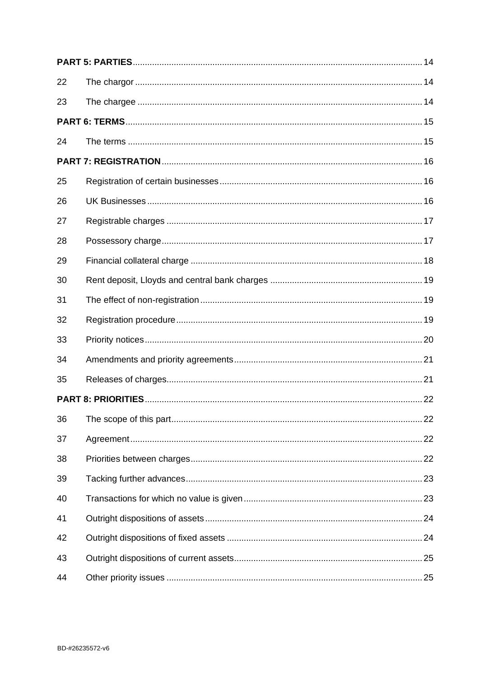| 22 |  |
|----|--|
| 23 |  |
|    |  |
| 24 |  |
|    |  |
| 25 |  |
| 26 |  |
| 27 |  |
| 28 |  |
| 29 |  |
| 30 |  |
| 31 |  |
| 32 |  |
| 33 |  |
| 34 |  |
| 35 |  |
|    |  |
| 36 |  |
| 37 |  |
| 38 |  |
| 39 |  |
| 40 |  |
| 41 |  |
| 42 |  |
| 43 |  |
| 44 |  |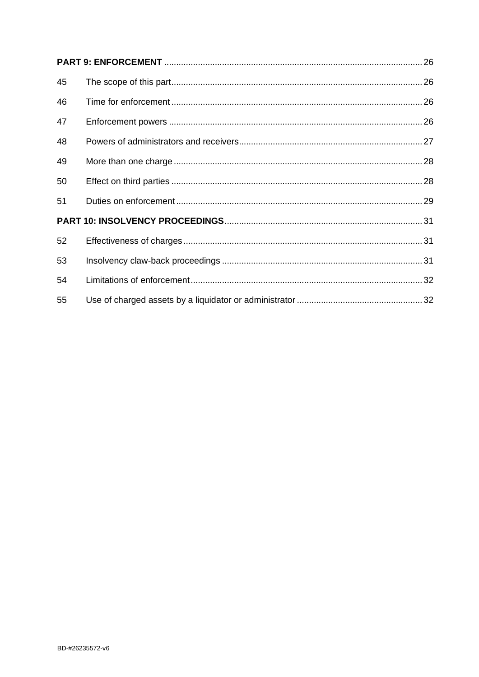| 45 |  |
|----|--|
| 46 |  |
| 47 |  |
| 48 |  |
| 49 |  |
| 50 |  |
| 51 |  |
|    |  |
| 52 |  |
| 53 |  |
| 54 |  |
| 55 |  |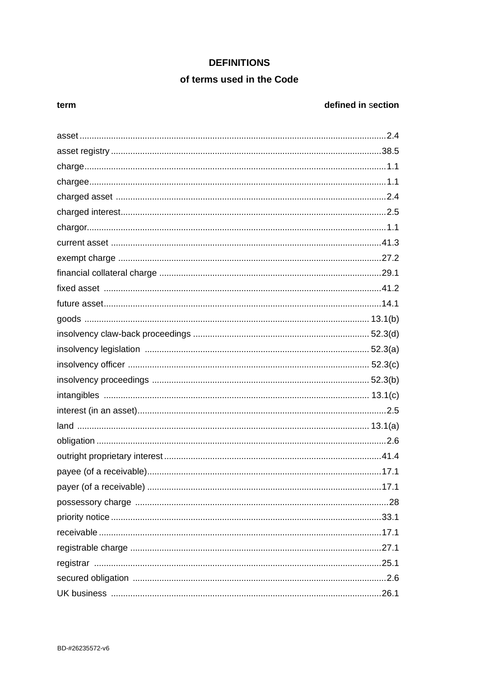# **DEFINITIONS**

# of terms used in the Code

#### term

# defined in section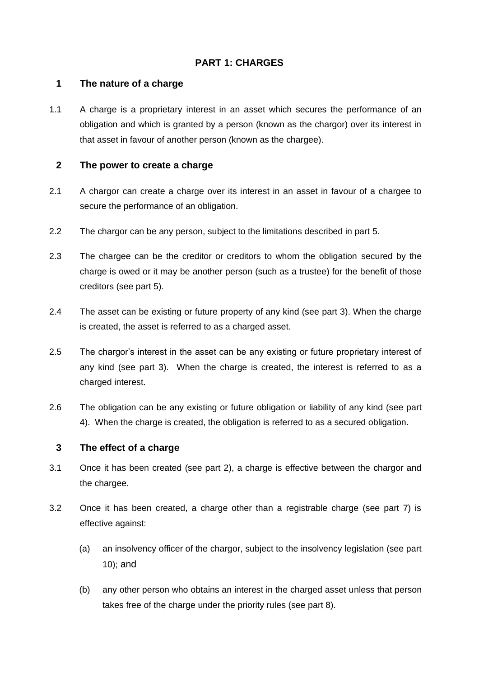# <span id="page-5-0"></span>**PART 1: CHARGES**

### <span id="page-5-1"></span>**1 The nature of a charge**

1.1 A charge is a proprietary interest in an asset which secures the performance of an obligation and which is granted by a person (known as the chargor) over its interest in that asset in favour of another person (known as the chargee).

### <span id="page-5-2"></span>**2 The power to create a charge**

- 2.1 A chargor can create a charge over its interest in an asset in favour of a chargee to secure the performance of an obligation.
- 2.2 The chargor can be any person, subject to the limitations described in part 5.
- 2.3 The chargee can be the creditor or creditors to whom the obligation secured by the charge is owed or it may be another person (such as a trustee) for the benefit of those creditors (see part 5).
- 2.4 The asset can be existing or future property of any kind (see part 3). When the charge is created, the asset is referred to as a charged asset.
- 2.5 The chargor's interest in the asset can be any existing or future proprietary interest of any kind (see part 3). When the charge is created, the interest is referred to as a charged interest.
- 2.6 The obligation can be any existing or future obligation or liability of any kind (see part 4). When the charge is created, the obligation is referred to as a secured obligation.

### <span id="page-5-3"></span>**3 The effect of a charge**

- 3.1 Once it has been created (see part 2), a charge is effective between the chargor and the chargee.
- 3.2 Once it has been created, a charge other than a registrable charge (see part 7) is effective against:
	- (a) an insolvency officer of the chargor, subject to the insolvency legislation (see part 10); and
	- (b) any other person who obtains an interest in the charged asset unless that person takes free of the charge under the priority rules (see part 8).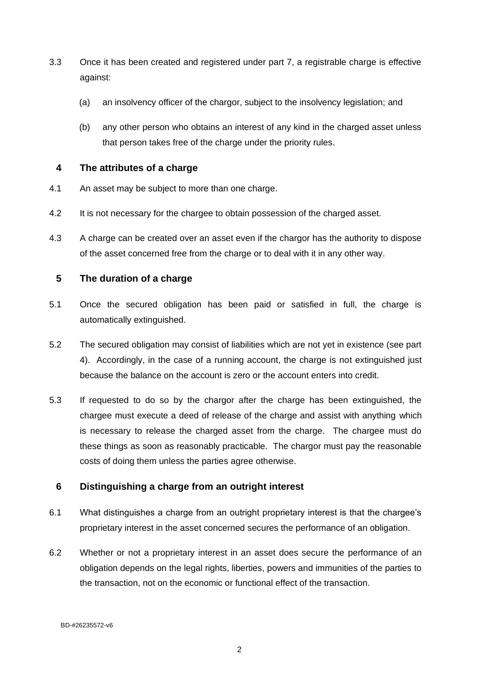- 3.3 Once it has been created and registered under part 7, a registrable charge is effective against:
	- (a) an insolvency officer of the chargor, subject to the insolvency legislation; and
	- (b) any other person who obtains an interest of any kind in the charged asset unless that person takes free of the charge under the priority rules.

### <span id="page-6-0"></span>**4 The attributes of a charge**

- 4.1 An asset may be subject to more than one charge.
- 4.2 It is not necessary for the chargee to obtain possession of the charged asset.
- 4.3 A charge can be created over an asset even if the chargor has the authority to dispose of the asset concerned free from the charge or to deal with it in any other way.

### <span id="page-6-1"></span>**5 The duration of a charge**

- 5.1 Once the secured obligation has been paid or satisfied in full, the charge is automatically extinguished.
- 5.2 The secured obligation may consist of liabilities which are not yet in existence (see part 4). Accordingly, in the case of a running account, the charge is not extinguished just because the balance on the account is zero or the account enters into credit.
- 5.3 If requested to do so by the chargor after the charge has been extinguished, the chargee must execute a deed of release of the charge and assist with anything which is necessary to release the charged asset from the charge. The chargee must do these things as soon as reasonably practicable. The chargor must pay the reasonable costs of doing them unless the parties agree otherwise.

### <span id="page-6-2"></span>**6 Distinguishing a charge from an outright interest**

- 6.1 What distinguishes a charge from an outright proprietary interest is that the chargee's proprietary interest in the asset concerned secures the performance of an obligation.
- 6.2 Whether or not a proprietary interest in an asset does secure the performance of an obligation depends on the legal rights, liberties, powers and immunities of the parties to the transaction, not on the economic or functional effect of the transaction.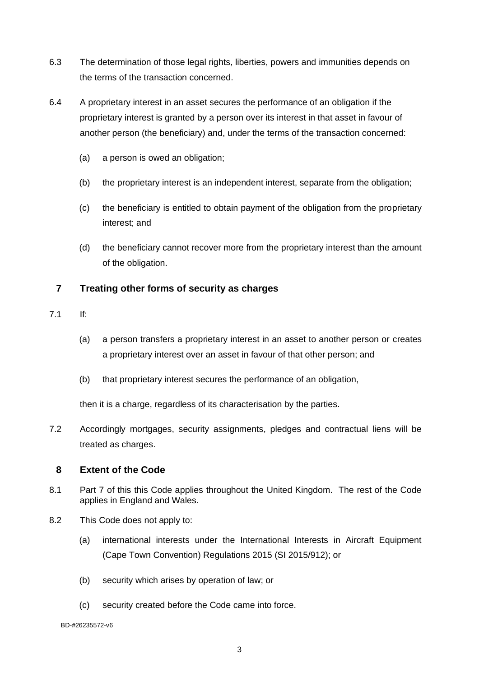- 6.3 The determination of those legal rights, liberties, powers and immunities depends on the terms of the transaction concerned.
- 6.4 A proprietary interest in an asset secures the performance of an obligation if the proprietary interest is granted by a person over its interest in that asset in favour of another person (the beneficiary) and, under the terms of the transaction concerned:
	- (a) a person is owed an obligation;
	- (b) the proprietary interest is an independent interest, separate from the obligation;
	- (c) the beneficiary is entitled to obtain payment of the obligation from the proprietary interest; and
	- (d) the beneficiary cannot recover more from the proprietary interest than the amount of the obligation.

### <span id="page-7-0"></span>**7 Treating other forms of security as charges**

- 7.1 If:
	- (a) a person transfers a proprietary interest in an asset to another person or creates a proprietary interest over an asset in favour of that other person; and
	- (b) that proprietary interest secures the performance of an obligation,

then it is a charge, regardless of its characterisation by the parties.

7.2 Accordingly mortgages, security assignments, pledges and contractual liens will be treated as charges.

#### <span id="page-7-1"></span>**8 Extent of the Code**

- 8.1 Part 7 of this this Code applies throughout the United Kingdom. The rest of the Code applies in England and Wales.
- 8.2 This Code does not apply to:
	- (a) international interests under the International Interests in Aircraft Equipment (Cape Town Convention) Regulations 2015 (SI 2015/912); or
	- (b) security which arises by operation of law; or
	- (c) security created before the Code came into force.

BD-#26235572-v6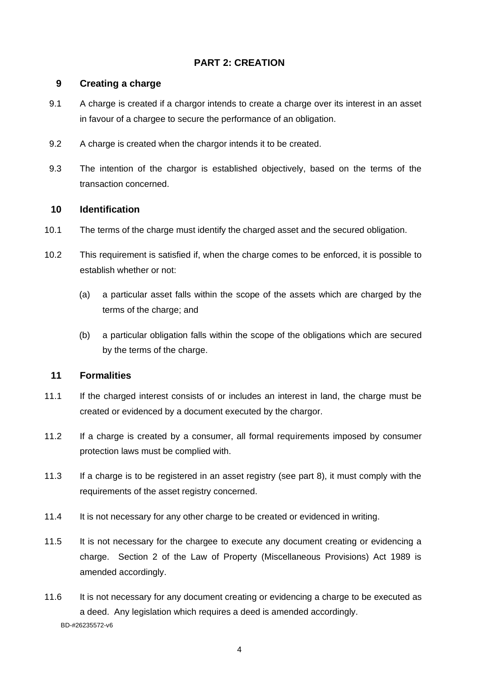# <span id="page-8-0"></span>**PART 2: CREATION**

### <span id="page-8-1"></span>**9 Creating a charge**

- 9.1 A charge is created if a chargor intends to create a charge over its interest in an asset in favour of a chargee to secure the performance of an obligation.
- 9.2 A charge is created when the chargor intends it to be created.
- 9.3 The intention of the chargor is established objectively, based on the terms of the transaction concerned.

### <span id="page-8-2"></span>**10 Identification**

- 10.1 The terms of the charge must identify the charged asset and the secured obligation.
- 10.2 This requirement is satisfied if, when the charge comes to be enforced, it is possible to establish whether or not:
	- (a) a particular asset falls within the scope of the assets which are charged by the terms of the charge; and
	- (b) a particular obligation falls within the scope of the obligations which are secured by the terms of the charge.

### <span id="page-8-3"></span>**11 Formalities**

- 11.1 If the charged interest consists of or includes an interest in land, the charge must be created or evidenced by a document executed by the chargor.
- 11.2 If a charge is created by a consumer, all formal requirements imposed by consumer protection laws must be complied with.
- 11.3 If a charge is to be registered in an asset registry (see part 8), it must comply with the requirements of the asset registry concerned.
- 11.4 It is not necessary for any other charge to be created or evidenced in writing.
- 11.5 It is not necessary for the chargee to execute any document creating or evidencing a charge. Section 2 of the Law of Property (Miscellaneous Provisions) Act 1989 is amended accordingly.
- BD-#26235572-v6 11.6 It is not necessary for any document creating or evidencing a charge to be executed as a deed. Any legislation which requires a deed is amended accordingly.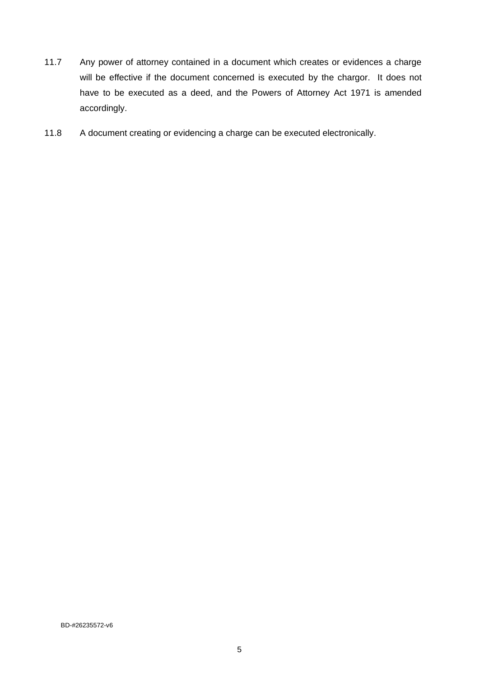- 11.7 Any power of attorney contained in a document which creates or evidences a charge will be effective if the document concerned is executed by the chargor. It does not have to be executed as a deed, and the Powers of Attorney Act 1971 is amended accordingly.
- 11.8 A document creating or evidencing a charge can be executed electronically.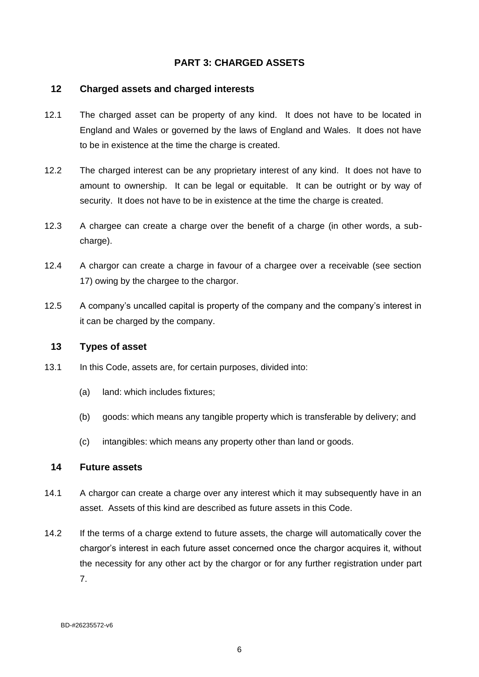### <span id="page-10-0"></span>**PART 3: CHARGED ASSETS**

#### <span id="page-10-1"></span>**12 Charged assets and charged interests**

- 12.1 The charged asset can be property of any kind. It does not have to be located in England and Wales or governed by the laws of England and Wales. It does not have to be in existence at the time the charge is created.
- 12.2 The charged interest can be any proprietary interest of any kind. It does not have to amount to ownership. It can be legal or equitable. It can be outright or by way of security. It does not have to be in existence at the time the charge is created.
- 12.3 A chargee can create a charge over the benefit of a charge (in other words, a subcharge).
- 12.4 A chargor can create a charge in favour of a chargee over a receivable (see section 17) owing by the chargee to the chargor.
- 12.5 A company's uncalled capital is property of the company and the company's interest in it can be charged by the company.

#### <span id="page-10-2"></span>**13 Types of asset**

- 13.1 In this Code, assets are, for certain purposes, divided into:
	- (a) land: which includes fixtures;
	- (b) goods: which means any tangible property which is transferable by delivery; and
	- (c) intangibles: which means any property other than land or goods.

#### <span id="page-10-3"></span>**14 Future assets**

- 14.1 A chargor can create a charge over any interest which it may subsequently have in an asset. Assets of this kind are described as future assets in this Code.
- 14.2 If the terms of a charge extend to future assets, the charge will automatically cover the chargor's interest in each future asset concerned once the chargor acquires it, without the necessity for any other act by the chargor or for any further registration under part 7.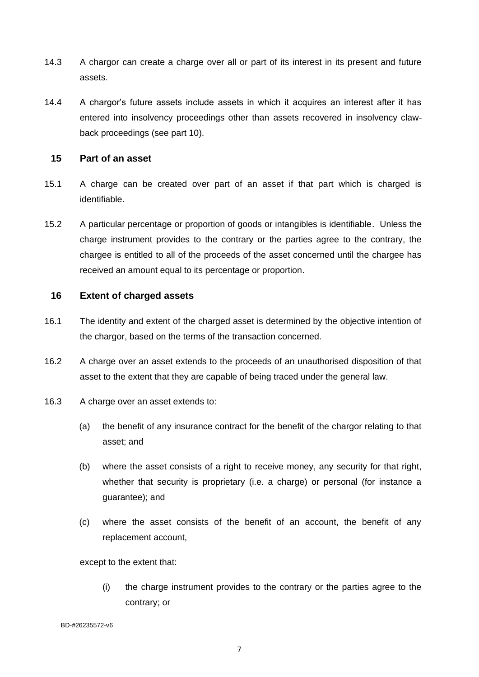- 14.3 A chargor can create a charge over all or part of its interest in its present and future assets.
- 14.4 A chargor's future assets include assets in which it acquires an interest after it has entered into insolvency proceedings other than assets recovered in insolvency clawback proceedings (see part 10).

#### <span id="page-11-0"></span>**15 Part of an asset**

- 15.1 A charge can be created over part of an asset if that part which is charged is identifiable.
- 15.2 A particular percentage or proportion of goods or intangibles is identifiable. Unless the charge instrument provides to the contrary or the parties agree to the contrary, the chargee is entitled to all of the proceeds of the asset concerned until the chargee has received an amount equal to its percentage or proportion.

### <span id="page-11-1"></span>**16 Extent of charged assets**

- 16.1 The identity and extent of the charged asset is determined by the objective intention of the chargor, based on the terms of the transaction concerned.
- 16.2 A charge over an asset extends to the proceeds of an unauthorised disposition of that asset to the extent that they are capable of being traced under the general law.
- 16.3 A charge over an asset extends to:
	- (a) the benefit of any insurance contract for the benefit of the chargor relating to that asset; and
	- (b) where the asset consists of a right to receive money, any security for that right, whether that security is proprietary (i.e. a charge) or personal (for instance a guarantee); and
	- (c) where the asset consists of the benefit of an account, the benefit of any replacement account,

except to the extent that:

(i) the charge instrument provides to the contrary or the parties agree to the contrary; or

```
BD-#26235572-v6
```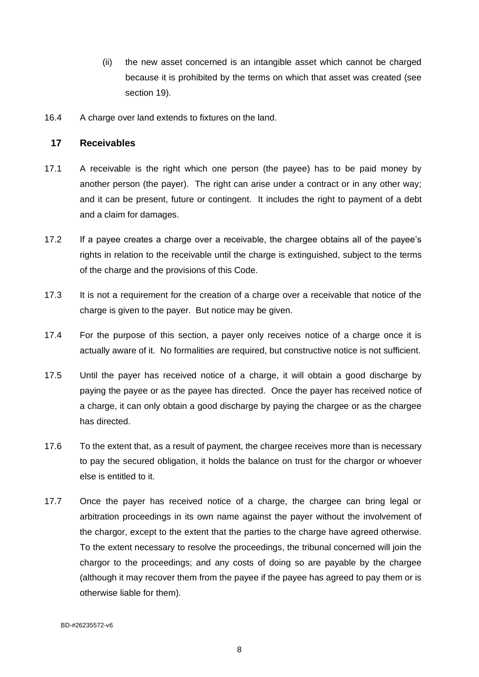- (ii) the new asset concerned is an intangible asset which cannot be charged because it is prohibited by the terms on which that asset was created (see section 19).
- 16.4 A charge over land extends to fixtures on the land.

#### <span id="page-12-0"></span>**17 Receivables**

- 17.1 A receivable is the right which one person (the payee) has to be paid money by another person (the payer). The right can arise under a contract or in any other way; and it can be present, future or contingent. It includes the right to payment of a debt and a claim for damages.
- 17.2 If a payee creates a charge over a receivable, the chargee obtains all of the payee's rights in relation to the receivable until the charge is extinguished, subject to the terms of the charge and the provisions of this Code.
- 17.3 It is not a requirement for the creation of a charge over a receivable that notice of the charge is given to the payer. But notice may be given.
- 17.4 For the purpose of this section, a payer only receives notice of a charge once it is actually aware of it. No formalities are required, but constructive notice is not sufficient.
- 17.5 Until the payer has received notice of a charge, it will obtain a good discharge by paying the payee or as the payee has directed. Once the payer has received notice of a charge, it can only obtain a good discharge by paying the chargee or as the chargee has directed.
- 17.6 To the extent that, as a result of payment, the chargee receives more than is necessary to pay the secured obligation, it holds the balance on trust for the chargor or whoever else is entitled to it.
- 17.7 Once the payer has received notice of a charge, the chargee can bring legal or arbitration proceedings in its own name against the payer without the involvement of the chargor, except to the extent that the parties to the charge have agreed otherwise. To the extent necessary to resolve the proceedings, the tribunal concerned will join the chargor to the proceedings; and any costs of doing so are payable by the chargee (although it may recover them from the payee if the payee has agreed to pay them or is otherwise liable for them).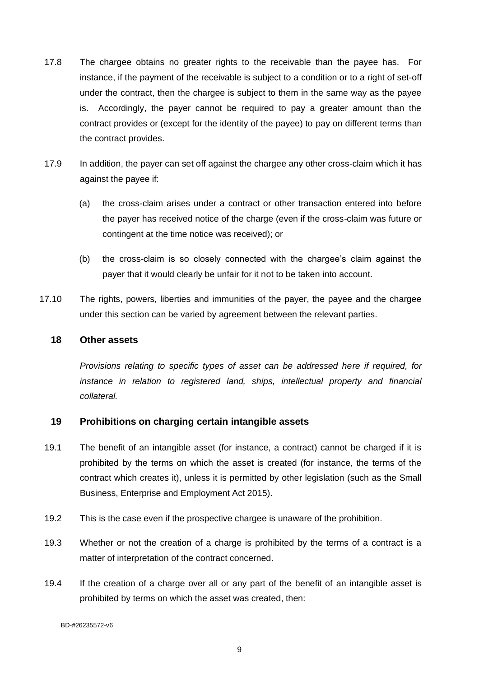- 17.8 The chargee obtains no greater rights to the receivable than the payee has. For instance, if the payment of the receivable is subject to a condition or to a right of set-off under the contract, then the chargee is subject to them in the same way as the payee is. Accordingly, the payer cannot be required to pay a greater amount than the contract provides or (except for the identity of the payee) to pay on different terms than the contract provides.
- 17.9 In addition, the payer can set off against the chargee any other cross-claim which it has against the payee if:
	- (a) the cross-claim arises under a contract or other transaction entered into before the payer has received notice of the charge (even if the cross-claim was future or contingent at the time notice was received); or
	- (b) the cross-claim is so closely connected with the chargee's claim against the payer that it would clearly be unfair for it not to be taken into account.
- 17.10 The rights, powers, liberties and immunities of the payer, the payee and the chargee under this section can be varied by agreement between the relevant parties.

#### <span id="page-13-0"></span>**18 Other assets**

*Provisions relating to specific types of asset can be addressed here if required, for instance in relation to registered land, ships, intellectual property and financial collateral.*

### <span id="page-13-1"></span>**19 Prohibitions on charging certain intangible assets**

- 19.1 The benefit of an intangible asset (for instance, a contract) cannot be charged if it is prohibited by the terms on which the asset is created (for instance, the terms of the contract which creates it), unless it is permitted by other legislation (such as the Small Business, Enterprise and Employment Act 2015).
- 19.2 This is the case even if the prospective chargee is unaware of the prohibition.
- 19.3 Whether or not the creation of a charge is prohibited by the terms of a contract is a matter of interpretation of the contract concerned.
- 19.4 If the creation of a charge over all or any part of the benefit of an intangible asset is prohibited by terms on which the asset was created, then:

BD-#26235572-v6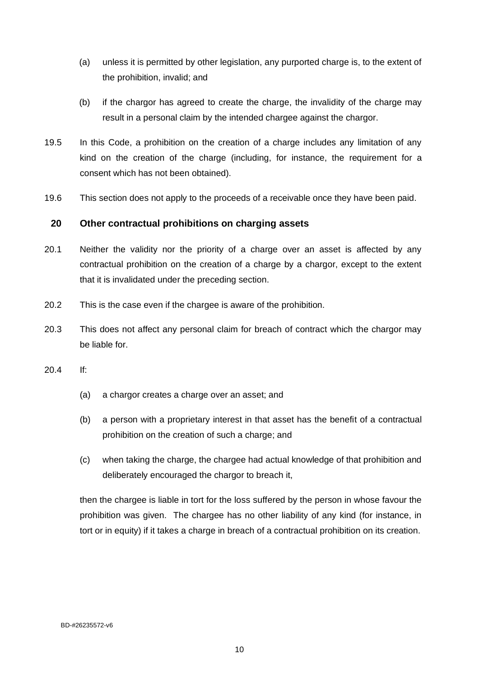- (a) unless it is permitted by other legislation, any purported charge is, to the extent of the prohibition, invalid; and
- (b) if the chargor has agreed to create the charge, the invalidity of the charge may result in a personal claim by the intended chargee against the chargor.
- 19.5 In this Code, a prohibition on the creation of a charge includes any limitation of any kind on the creation of the charge (including, for instance, the requirement for a consent which has not been obtained).
- 19.6 This section does not apply to the proceeds of a receivable once they have been paid.

### <span id="page-14-0"></span>**20 Other contractual prohibitions on charging assets**

- 20.1 Neither the validity nor the priority of a charge over an asset is affected by any contractual prohibition on the creation of a charge by a chargor, except to the extent that it is invalidated under the preceding section.
- 20.2 This is the case even if the chargee is aware of the prohibition.
- 20.3 This does not affect any personal claim for breach of contract which the chargor may be liable for.
- 20.4 If:
	- (a) a chargor creates a charge over an asset; and
	- (b) a person with a proprietary interest in that asset has the benefit of a contractual prohibition on the creation of such a charge; and
	- (c) when taking the charge, the chargee had actual knowledge of that prohibition and deliberately encouraged the chargor to breach it,

then the chargee is liable in tort for the loss suffered by the person in whose favour the prohibition was given. The chargee has no other liability of any kind (for instance, in tort or in equity) if it takes a charge in breach of a contractual prohibition on its creation.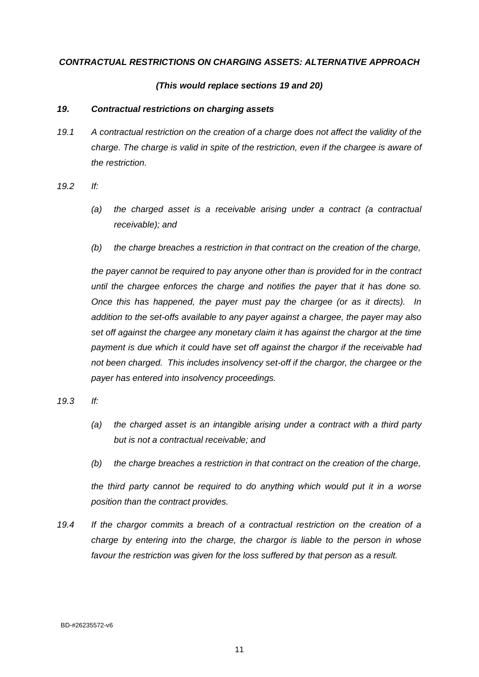#### *CONTRACTUAL RESTRICTIONS ON CHARGING ASSETS: ALTERNATIVE APPROACH*

#### *(This would replace sections 19 and 20)*

#### *19. Contractual restrictions on charging assets*

*19.1 A contractual restriction on the creation of a charge does not affect the validity of the charge. The charge is valid in spite of the restriction, even if the chargee is aware of the restriction.*

*19.2 If:* 

- *(a) the charged asset is a receivable arising under a contract (a contractual receivable); and*
- *(b) the charge breaches a restriction in that contract on the creation of the charge,*

*the payer cannot be required to pay anyone other than is provided for in the contract until the chargee enforces the charge and notifies the payer that it has done so. Once this has happened, the payer must pay the chargee (or as it directs). In addition to the set-offs available to any payer against a chargee, the payer may also set off against the chargee any monetary claim it has against the chargor at the time payment is due which it could have set off against the chargor if the receivable had not been charged. This includes insolvency set-off if the chargor, the chargee or the payer has entered into insolvency proceedings.*

*19.3 If:*

- *(a) the charged asset is an intangible arising under a contract with a third party but is not a contractual receivable; and*
- *(b) the charge breaches a restriction in that contract on the creation of the charge,*

*the third party cannot be required to do anything which would put it in a worse position than the contract provides.*

*19.4 If the chargor commits a breach of a contractual restriction on the creation of a charge by entering into the charge, the chargor is liable to the person in whose favour the restriction was given for the loss suffered by that person as a result.*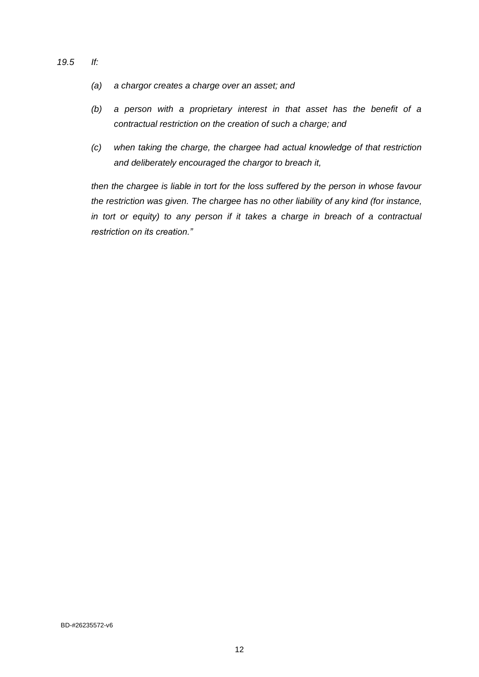- *19.5 If:*
	- *(a) a chargor creates a charge over an asset; and*
	- *(b) a person with a proprietary interest in that asset has the benefit of a contractual restriction on the creation of such a charge; and*
	- *(c) when taking the charge, the chargee had actual knowledge of that restriction and deliberately encouraged the chargor to breach it,*

*then the chargee is liable in tort for the loss suffered by the person in whose favour the restriction was given. The chargee has no other liability of any kind (for instance, in tort or equity) to any person if it takes a charge in breach of a contractual restriction on its creation."*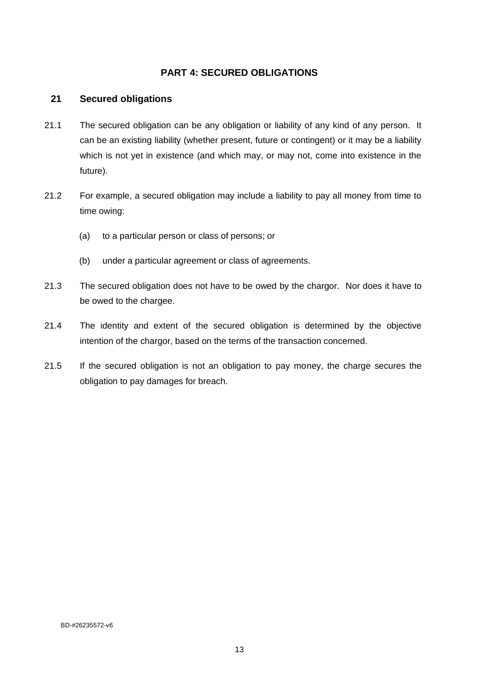### <span id="page-17-0"></span>**PART 4: SECURED OBLIGATIONS**

### <span id="page-17-1"></span>**21 Secured obligations**

- 21.1 The secured obligation can be any obligation or liability of any kind of any person. It can be an existing liability (whether present, future or contingent) or it may be a liability which is not yet in existence (and which may, or may not, come into existence in the future).
- 21.2 For example, a secured obligation may include a liability to pay all money from time to time owing:
	- (a) to a particular person or class of persons; or
	- (b) under a particular agreement or class of agreements.
- 21.3 The secured obligation does not have to be owed by the chargor. Nor does it have to be owed to the chargee.
- 21.4 The identity and extent of the secured obligation is determined by the objective intention of the chargor, based on the terms of the transaction concerned.
- 21.5 If the secured obligation is not an obligation to pay money, the charge secures the obligation to pay damages for breach.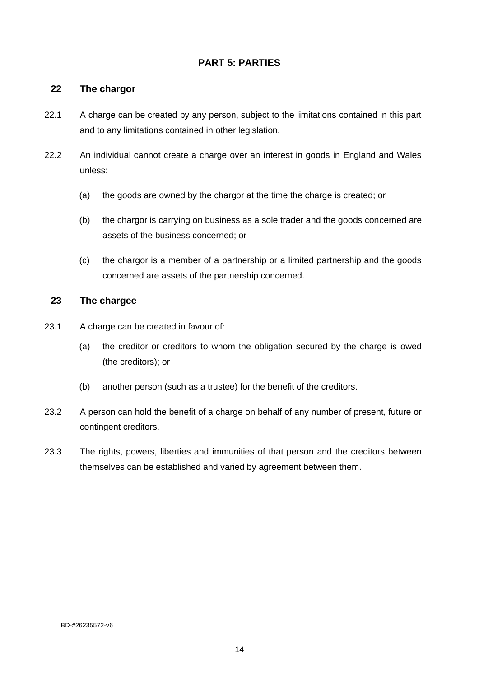# <span id="page-18-0"></span>**PART 5: PARTIES**

### <span id="page-18-1"></span>**22 The chargor**

- 22.1 A charge can be created by any person, subject to the limitations contained in this part and to any limitations contained in other legislation.
- 22.2 An individual cannot create a charge over an interest in goods in England and Wales unless:
	- (a) the goods are owned by the chargor at the time the charge is created; or
	- (b) the chargor is carrying on business as a sole trader and the goods concerned are assets of the business concerned; or
	- (c) the chargor is a member of a partnership or a limited partnership and the goods concerned are assets of the partnership concerned.

### <span id="page-18-2"></span>**23 The chargee**

- 23.1 A charge can be created in favour of:
	- (a) the creditor or creditors to whom the obligation secured by the charge is owed (the creditors); or
	- (b) another person (such as a trustee) for the benefit of the creditors.
- 23.2 A person can hold the benefit of a charge on behalf of any number of present, future or contingent creditors.
- 23.3 The rights, powers, liberties and immunities of that person and the creditors between themselves can be established and varied by agreement between them.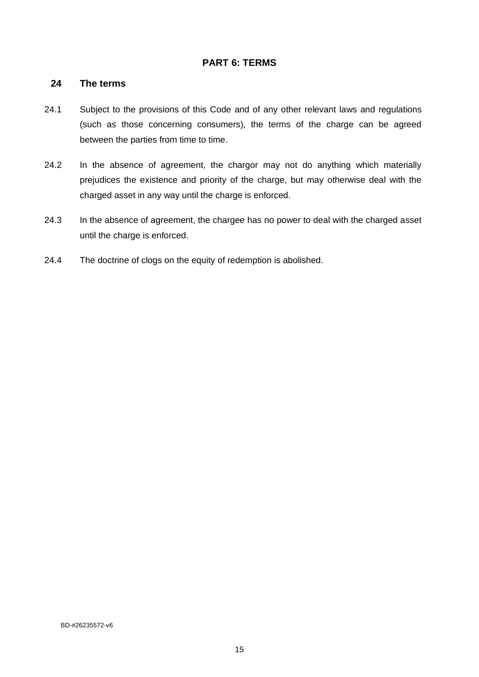### <span id="page-19-0"></span>**PART 6: TERMS**

#### <span id="page-19-1"></span>**24 The terms**

- 24.1 Subject to the provisions of this Code and of any other relevant laws and regulations (such as those concerning consumers), the terms of the charge can be agreed between the parties from time to time.
- 24.2 In the absence of agreement, the chargor may not do anything which materially prejudices the existence and priority of the charge, but may otherwise deal with the charged asset in any way until the charge is enforced.
- 24.3 In the absence of agreement, the chargee has no power to deal with the charged asset until the charge is enforced.
- 24.4 The doctrine of clogs on the equity of redemption is abolished.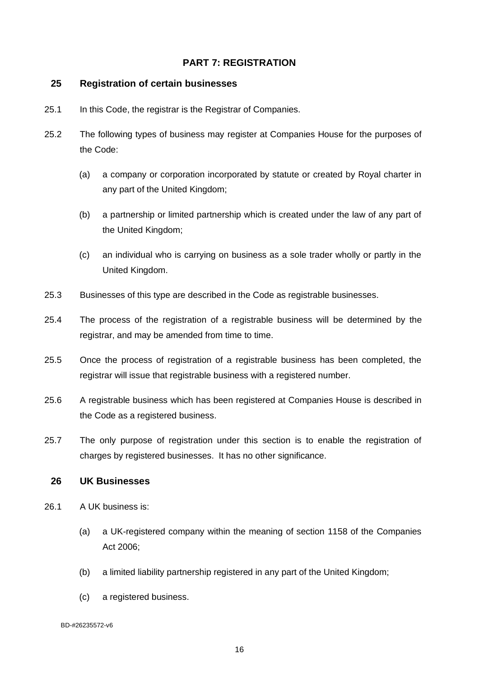### <span id="page-20-0"></span>**PART 7: REGISTRATION**

#### <span id="page-20-1"></span>**25 Registration of certain businesses**

- 25.1 In this Code, the registrar is the Registrar of Companies.
- 25.2 The following types of business may register at Companies House for the purposes of the Code:
	- (a) a company or corporation incorporated by statute or created by Royal charter in any part of the United Kingdom;
	- (b) a partnership or limited partnership which is created under the law of any part of the United Kingdom;
	- (c) an individual who is carrying on business as a sole trader wholly or partly in the United Kingdom.
- 25.3 Businesses of this type are described in the Code as registrable businesses.
- 25.4 The process of the registration of a registrable business will be determined by the registrar, and may be amended from time to time.
- 25.5 Once the process of registration of a registrable business has been completed, the registrar will issue that registrable business with a registered number.
- 25.6 A registrable business which has been registered at Companies House is described in the Code as a registered business.
- 25.7 The only purpose of registration under this section is to enable the registration of charges by registered businesses. It has no other significance.

#### <span id="page-20-2"></span>**26 UK Businesses**

- 26.1 A UK business is:
	- (a) a UK-registered company within the meaning of section 1158 of the Companies Act 2006;
	- (b) a limited liability partnership registered in any part of the United Kingdom;
	- (c) a registered business.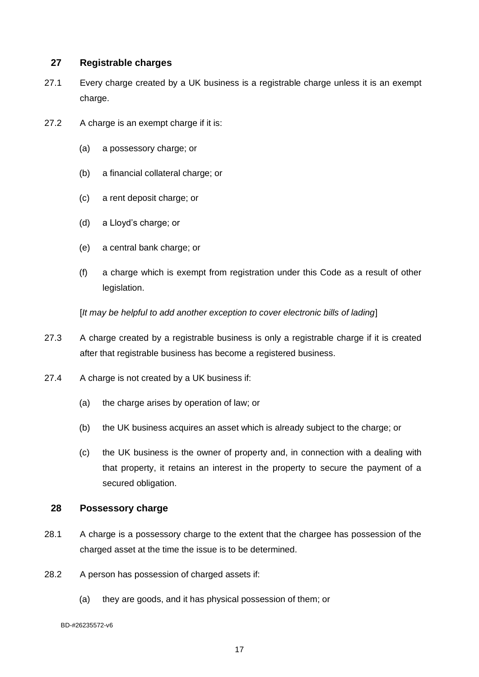### <span id="page-21-0"></span>**27 Registrable charges**

- 27.1 Every charge created by a UK business is a registrable charge unless it is an exempt charge.
- 27.2 A charge is an exempt charge if it is:
	- (a) a possessory charge; or
	- (b) a financial collateral charge; or
	- (c) a rent deposit charge; or
	- (d) a Lloyd's charge; or
	- (e) a central bank charge; or
	- (f) a charge which is exempt from registration under this Code as a result of other legislation.

[*It may be helpful to add another exception to cover electronic bills of lading*]

- 27.3 A charge created by a registrable business is only a registrable charge if it is created after that registrable business has become a registered business.
- 27.4 A charge is not created by a UK business if:
	- (a) the charge arises by operation of law; or
	- (b) the UK business acquires an asset which is already subject to the charge; or
	- (c) the UK business is the owner of property and, in connection with a dealing with that property, it retains an interest in the property to secure the payment of a secured obligation.

#### <span id="page-21-1"></span>**28 Possessory charge**

- 28.1 A charge is a possessory charge to the extent that the chargee has possession of the charged asset at the time the issue is to be determined.
- 28.2 A person has possession of charged assets if:
	- (a) they are goods, and it has physical possession of them; or

BD-#26235572-v6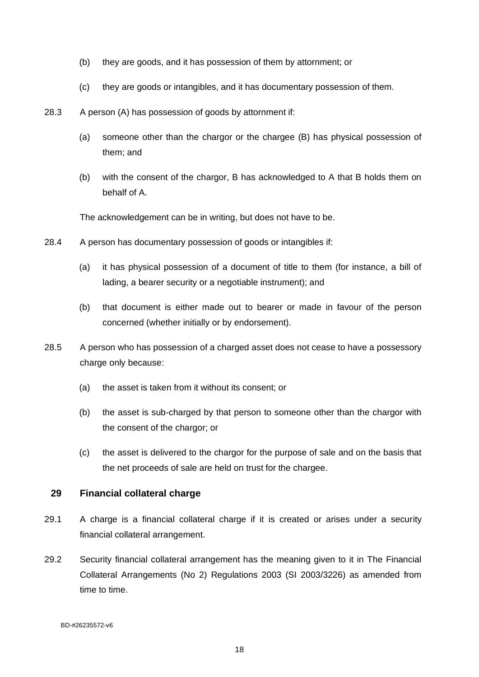- (b) they are goods, and it has possession of them by attornment; or
- (c) they are goods or intangibles, and it has documentary possession of them.
- 28.3 A person (A) has possession of goods by attornment if:
	- (a) someone other than the chargor or the chargee (B) has physical possession of them; and
	- (b) with the consent of the chargor, B has acknowledged to A that B holds them on behalf of A.

The acknowledgement can be in writing, but does not have to be.

- 28.4 A person has documentary possession of goods or intangibles if:
	- (a) it has physical possession of a document of title to them (for instance, a bill of lading, a bearer security or a negotiable instrument); and
	- (b) that document is either made out to bearer or made in favour of the person concerned (whether initially or by endorsement).
- 28.5 A person who has possession of a charged asset does not cease to have a possessory charge only because:
	- (a) the asset is taken from it without its consent; or
	- (b) the asset is sub-charged by that person to someone other than the chargor with the consent of the chargor; or
	- (c) the asset is delivered to the chargor for the purpose of sale and on the basis that the net proceeds of sale are held on trust for the chargee.

#### <span id="page-22-0"></span>**29 Financial collateral charge**

- 29.1 A charge is a financial collateral charge if it is created or arises under a security financial collateral arrangement.
- 29.2 Security financial collateral arrangement has the meaning given to it in The Financial Collateral Arrangements (No 2) Regulations 2003 (SI 2003/3226) as amended from time to time.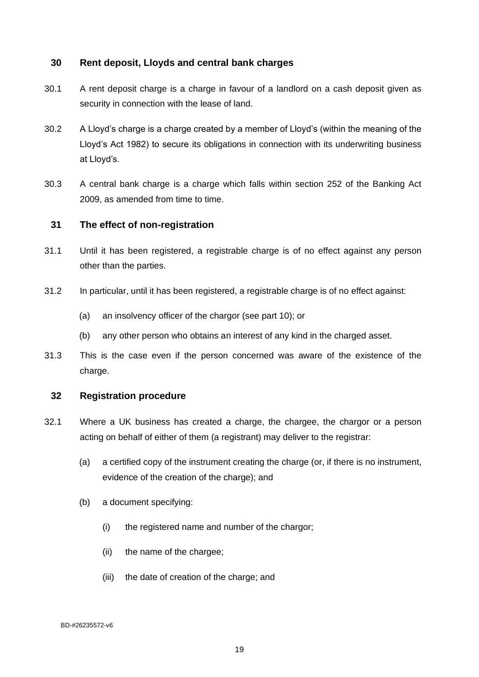### <span id="page-23-0"></span>**30 Rent deposit, Lloyds and central bank charges**

- 30.1 A rent deposit charge is a charge in favour of a landlord on a cash deposit given as security in connection with the lease of land.
- 30.2 A Lloyd's charge is a charge created by a member of Lloyd's (within the meaning of the Lloyd's Act 1982) to secure its obligations in connection with its underwriting business at Lloyd's.
- 30.3 A central bank charge is a charge which falls within section 252 of the Banking Act 2009, as amended from time to time.

### <span id="page-23-1"></span>**31 The effect of non-registration**

- 31.1 Until it has been registered, a registrable charge is of no effect against any person other than the parties.
- 31.2 In particular, until it has been registered, a registrable charge is of no effect against:
	- (a) an insolvency officer of the chargor (see part 10); or
	- (b) any other person who obtains an interest of any kind in the charged asset.
- 31.3 This is the case even if the person concerned was aware of the existence of the charge.

### <span id="page-23-2"></span>**32 Registration procedure**

- 32.1 Where a UK business has created a charge, the chargee, the chargor or a person acting on behalf of either of them (a registrant) may deliver to the registrar:
	- (a) a certified copy of the instrument creating the charge (or, if there is no instrument, evidence of the creation of the charge); and
	- (b) a document specifying:
		- (i) the registered name and number of the chargor;
		- (ii) the name of the chargee;
		- (iii) the date of creation of the charge; and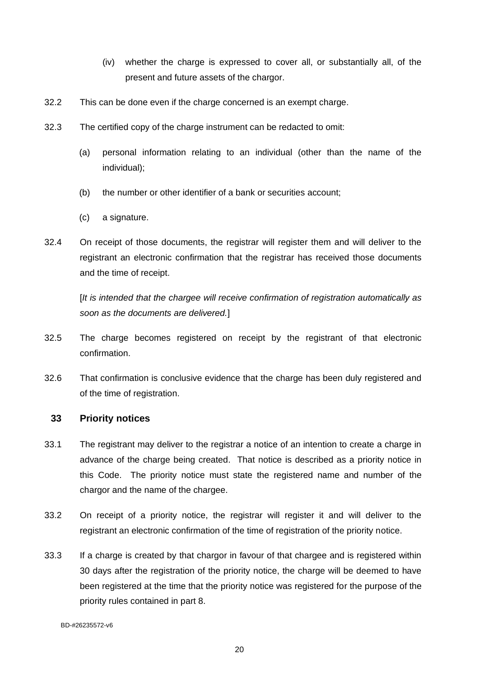- (iv) whether the charge is expressed to cover all, or substantially all, of the present and future assets of the chargor.
- 32.2 This can be done even if the charge concerned is an exempt charge.
- 32.3 The certified copy of the charge instrument can be redacted to omit:
	- (a) personal information relating to an individual (other than the name of the individual);
	- (b) the number or other identifier of a bank or securities account;
	- (c) a signature.
- 32.4 On receipt of those documents, the registrar will register them and will deliver to the registrant an electronic confirmation that the registrar has received those documents and the time of receipt.

[*It is intended that the chargee will receive confirmation of registration automatically as soon as the documents are delivered.*]

- 32.5 The charge becomes registered on receipt by the registrant of that electronic confirmation.
- 32.6 That confirmation is conclusive evidence that the charge has been duly registered and of the time of registration.

#### <span id="page-24-0"></span>**33 Priority notices**

- 33.1 The registrant may deliver to the registrar a notice of an intention to create a charge in advance of the charge being created. That notice is described as a priority notice in this Code. The priority notice must state the registered name and number of the chargor and the name of the chargee.
- 33.2 On receipt of a priority notice, the registrar will register it and will deliver to the registrant an electronic confirmation of the time of registration of the priority notice.
- 33.3 If a charge is created by that chargor in favour of that chargee and is registered within 30 days after the registration of the priority notice, the charge will be deemed to have been registered at the time that the priority notice was registered for the purpose of the priority rules contained in part 8.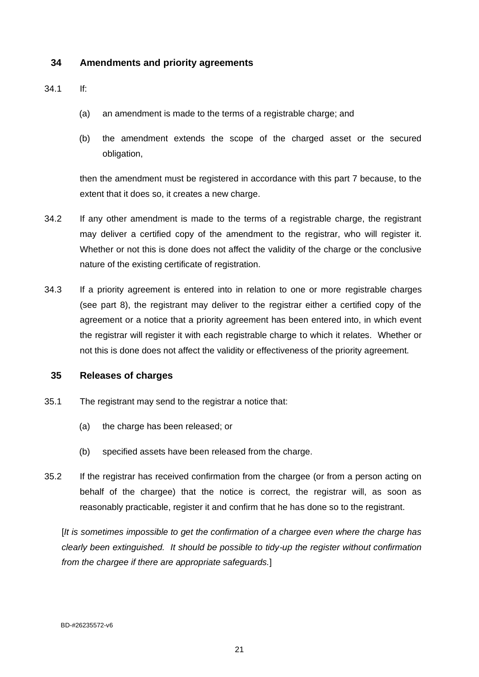### <span id="page-25-0"></span>**34 Amendments and priority agreements**

#### 34.1 If:

- (a) an amendment is made to the terms of a registrable charge; and
- (b) the amendment extends the scope of the charged asset or the secured obligation,

then the amendment must be registered in accordance with this part 7 because, to the extent that it does so, it creates a new charge.

- 34.2 If any other amendment is made to the terms of a registrable charge, the registrant may deliver a certified copy of the amendment to the registrar, who will register it. Whether or not this is done does not affect the validity of the charge or the conclusive nature of the existing certificate of registration.
- 34.3 If a priority agreement is entered into in relation to one or more registrable charges (see part 8), the registrant may deliver to the registrar either a certified copy of the agreement or a notice that a priority agreement has been entered into, in which event the registrar will register it with each registrable charge to which it relates. Whether or not this is done does not affect the validity or effectiveness of the priority agreement.

#### <span id="page-25-1"></span>**35 Releases of charges**

- 35.1 The registrant may send to the registrar a notice that:
	- (a) the charge has been released; or
	- (b) specified assets have been released from the charge.
- 35.2 If the registrar has received confirmation from the chargee (or from a person acting on behalf of the chargee) that the notice is correct, the registrar will, as soon as reasonably practicable, register it and confirm that he has done so to the registrant.

[*It is sometimes impossible to get the confirmation of a chargee even where the charge has clearly been extinguished. It should be possible to tidy-up the register without confirmation from the chargee if there are appropriate safeguards.*]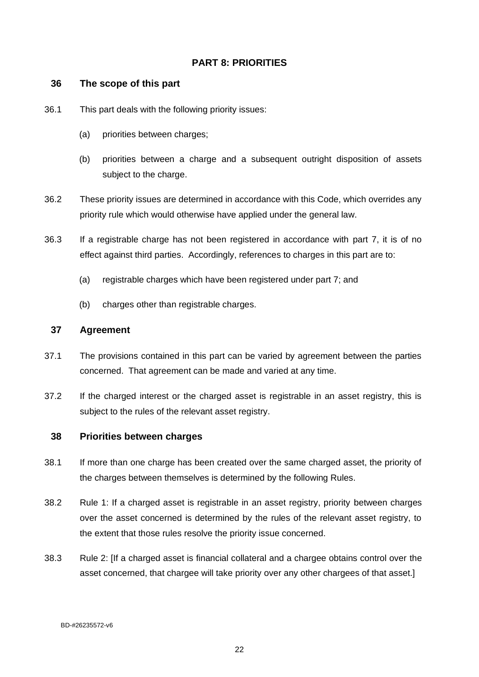# <span id="page-26-0"></span>**PART 8: PRIORITIES**

#### <span id="page-26-1"></span>**36 The scope of this part**

- 36.1 This part deals with the following priority issues:
	- (a) priorities between charges;
	- (b) priorities between a charge and a subsequent outright disposition of assets subject to the charge.
- 36.2 These priority issues are determined in accordance with this Code, which overrides any priority rule which would otherwise have applied under the general law.
- 36.3 If a registrable charge has not been registered in accordance with part 7, it is of no effect against third parties. Accordingly, references to charges in this part are to:
	- (a) registrable charges which have been registered under part 7; and
	- (b) charges other than registrable charges.

### <span id="page-26-2"></span>**37 Agreement**

- 37.1 The provisions contained in this part can be varied by agreement between the parties concerned. That agreement can be made and varied at any time.
- 37.2 If the charged interest or the charged asset is registrable in an asset registry, this is subject to the rules of the relevant asset registry.

#### <span id="page-26-3"></span>**38 Priorities between charges**

- 38.1 If more than one charge has been created over the same charged asset, the priority of the charges between themselves is determined by the following Rules.
- 38.2 Rule 1: If a charged asset is registrable in an asset registry, priority between charges over the asset concerned is determined by the rules of the relevant asset registry, to the extent that those rules resolve the priority issue concerned.
- 38.3 Rule 2: [If a charged asset is financial collateral and a chargee obtains control over the asset concerned, that chargee will take priority over any other chargees of that asset.]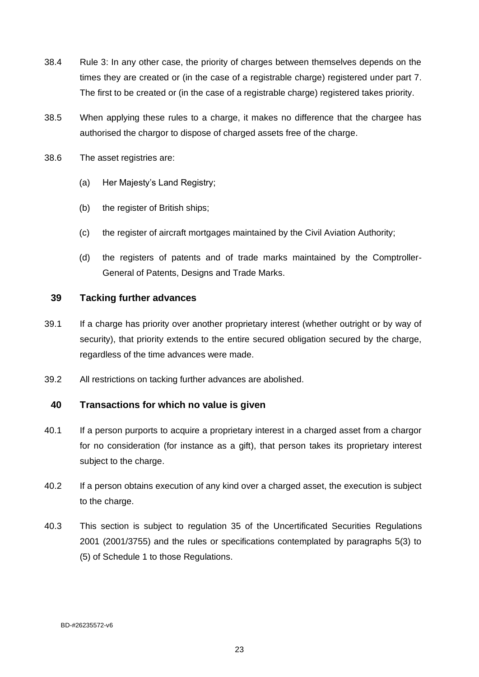- 38.4 Rule 3: In any other case, the priority of charges between themselves depends on the times they are created or (in the case of a registrable charge) registered under part 7. The first to be created or (in the case of a registrable charge) registered takes priority.
- 38.5 When applying these rules to a charge, it makes no difference that the chargee has authorised the chargor to dispose of charged assets free of the charge.
- 38.6 The asset registries are:
	- (a) Her Majesty's Land Registry;
	- (b) the register of British ships;
	- (c) the register of aircraft mortgages maintained by the Civil Aviation Authority;
	- (d) the registers of patents and of trade marks maintained by the Comptroller-General of Patents, Designs and Trade Marks.

### <span id="page-27-0"></span>**39 Tacking further advances**

- 39.1 If a charge has priority over another proprietary interest (whether outright or by way of security), that priority extends to the entire secured obligation secured by the charge, regardless of the time advances were made.
- 39.2 All restrictions on tacking further advances are abolished.

### <span id="page-27-1"></span>**40 Transactions for which no value is given**

- 40.1 If a person purports to acquire a proprietary interest in a charged asset from a chargor for no consideration (for instance as a gift), that person takes its proprietary interest subject to the charge.
- 40.2 If a person obtains execution of any kind over a charged asset, the execution is subject to the charge.
- 40.3 This section is subject to regulation 35 of the Uncertificated Securities Regulations 2001 (2001/3755) and the rules or specifications contemplated by paragraphs 5(3) to (5) of Schedule 1 to those Regulations.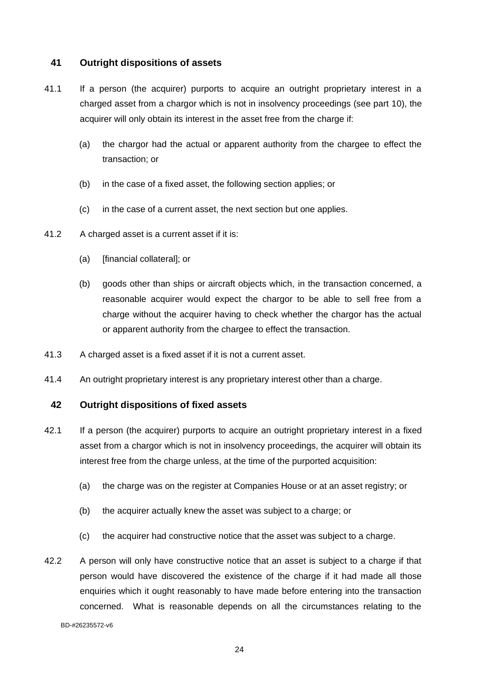### <span id="page-28-0"></span>**41 Outright dispositions of assets**

- 41.1 If a person (the acquirer) purports to acquire an outright proprietary interest in a charged asset from a chargor which is not in insolvency proceedings (see part 10), the acquirer will only obtain its interest in the asset free from the charge if:
	- (a) the chargor had the actual or apparent authority from the chargee to effect the transaction; or
	- (b) in the case of a fixed asset, the following section applies; or
	- (c) in the case of a current asset, the next section but one applies.
- 41.2 A charged asset is a current asset if it is:
	- (a) [financial collateral]; or
	- (b) goods other than ships or aircraft objects which, in the transaction concerned, a reasonable acquirer would expect the chargor to be able to sell free from a charge without the acquirer having to check whether the chargor has the actual or apparent authority from the chargee to effect the transaction.
- 41.3 A charged asset is a fixed asset if it is not a current asset.
- 41.4 An outright proprietary interest is any proprietary interest other than a charge.

### <span id="page-28-1"></span>**42 Outright dispositions of fixed assets**

- 42.1 If a person (the acquirer) purports to acquire an outright proprietary interest in a fixed asset from a chargor which is not in insolvency proceedings, the acquirer will obtain its interest free from the charge unless, at the time of the purported acquisition:
	- (a) the charge was on the register at Companies House or at an asset registry; or
	- (b) the acquirer actually knew the asset was subject to a charge; or
	- (c) the acquirer had constructive notice that the asset was subject to a charge.
- 42.2 A person will only have constructive notice that an asset is subject to a charge if that person would have discovered the existence of the charge if it had made all those enquiries which it ought reasonably to have made before entering into the transaction concerned. What is reasonable depends on all the circumstances relating to the

BD-#26235572-v6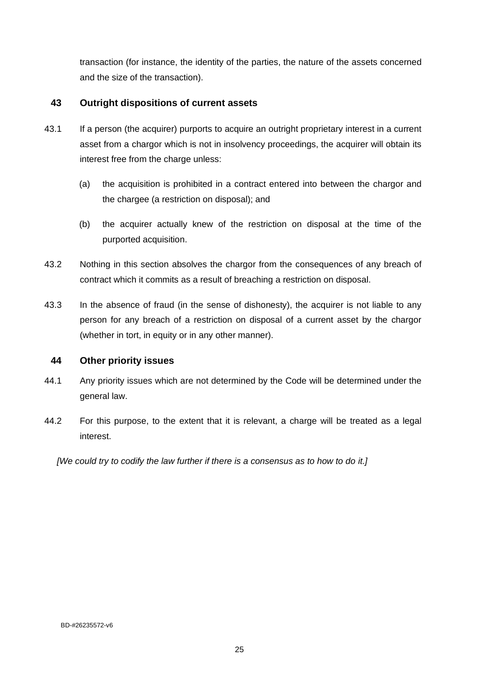transaction (for instance, the identity of the parties, the nature of the assets concerned and the size of the transaction).

### <span id="page-29-0"></span>**43 Outright dispositions of current assets**

- 43.1 If a person (the acquirer) purports to acquire an outright proprietary interest in a current asset from a chargor which is not in insolvency proceedings, the acquirer will obtain its interest free from the charge unless:
	- (a) the acquisition is prohibited in a contract entered into between the chargor and the chargee (a restriction on disposal); and
	- (b) the acquirer actually knew of the restriction on disposal at the time of the purported acquisition.
- 43.2 Nothing in this section absolves the chargor from the consequences of any breach of contract which it commits as a result of breaching a restriction on disposal.
- 43.3 In the absence of fraud (in the sense of dishonesty), the acquirer is not liable to any person for any breach of a restriction on disposal of a current asset by the chargor (whether in tort, in equity or in any other manner).

### <span id="page-29-1"></span>**44 Other priority issues**

- 44.1 Any priority issues which are not determined by the Code will be determined under the general law.
- 44.2 For this purpose, to the extent that it is relevant, a charge will be treated as a legal interest.

*[We could try to codify the law further if there is a consensus as to how to do it.]*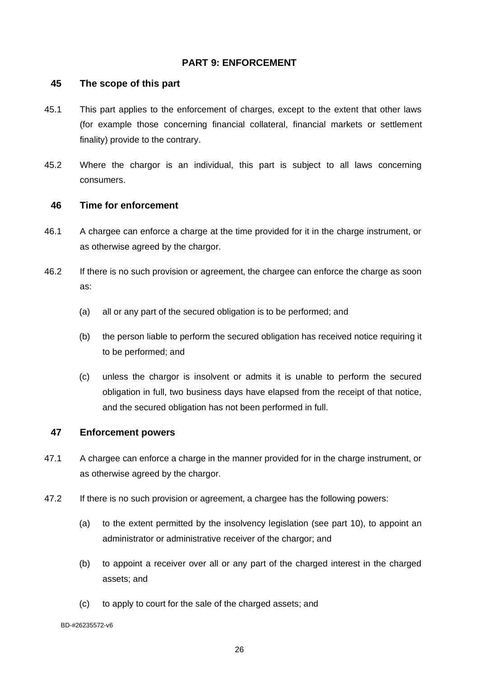### <span id="page-30-0"></span>**PART 9: ENFORCEMENT**

#### <span id="page-30-1"></span>**45 The scope of this part**

- 45.1 This part applies to the enforcement of charges, except to the extent that other laws (for example those concerning financial collateral, financial markets or settlement finality) provide to the contrary.
- 45.2 Where the chargor is an individual, this part is subject to all laws concerning consumers.

#### <span id="page-30-2"></span>**46 Time for enforcement**

- 46.1 A chargee can enforce a charge at the time provided for it in the charge instrument, or as otherwise agreed by the chargor.
- 46.2 If there is no such provision or agreement, the chargee can enforce the charge as soon as:
	- (a) all or any part of the secured obligation is to be performed; and
	- (b) the person liable to perform the secured obligation has received notice requiring it to be performed; and
	- (c) unless the chargor is insolvent or admits it is unable to perform the secured obligation in full, two business days have elapsed from the receipt of that notice, and the secured obligation has not been performed in full.

### <span id="page-30-3"></span>**47 Enforcement powers**

- 47.1 A chargee can enforce a charge in the manner provided for in the charge instrument, or as otherwise agreed by the chargor.
- 47.2 If there is no such provision or agreement, a chargee has the following powers:
	- (a) to the extent permitted by the insolvency legislation (see part 10), to appoint an administrator or administrative receiver of the chargor; and
	- (b) to appoint a receiver over all or any part of the charged interest in the charged assets; and
	- (c) to apply to court for the sale of the charged assets; and

BD-#26235572-v6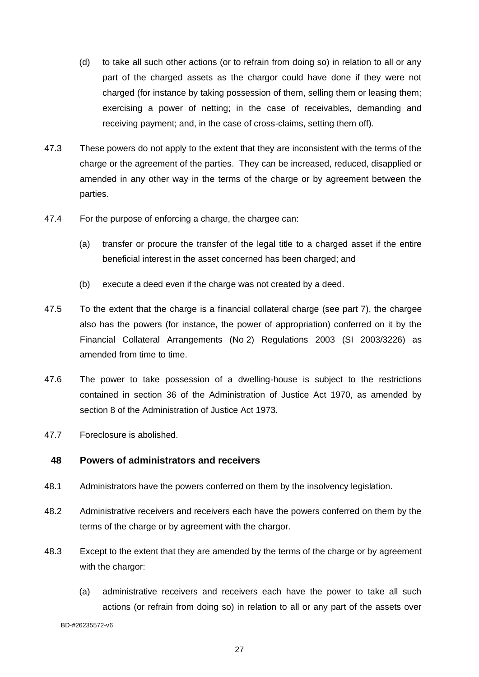- (d) to take all such other actions (or to refrain from doing so) in relation to all or any part of the charged assets as the chargor could have done if they were not charged (for instance by taking possession of them, selling them or leasing them; exercising a power of netting; in the case of receivables, demanding and receiving payment; and, in the case of cross-claims, setting them off).
- 47.3 These powers do not apply to the extent that they are inconsistent with the terms of the charge or the agreement of the parties. They can be increased, reduced, disapplied or amended in any other way in the terms of the charge or by agreement between the parties.
- 47.4 For the purpose of enforcing a charge, the chargee can:
	- (a) transfer or procure the transfer of the legal title to a charged asset if the entire beneficial interest in the asset concerned has been charged; and
	- (b) execute a deed even if the charge was not created by a deed.
- 47.5 To the extent that the charge is a financial collateral charge (see part 7), the chargee also has the powers (for instance, the power of appropriation) conferred on it by the Financial Collateral Arrangements (No 2) Regulations 2003 (SI 2003/3226) as amended from time to time.
- 47.6 The power to take possession of a dwelling-house is subject to the restrictions contained in section 36 of the Administration of Justice Act 1970, as amended by section 8 of the Administration of Justice Act 1973.
- 47.7 Foreclosure is abolished.

#### <span id="page-31-0"></span>**48 Powers of administrators and receivers**

- 48.1 Administrators have the powers conferred on them by the insolvency legislation.
- 48.2 Administrative receivers and receivers each have the powers conferred on them by the terms of the charge or by agreement with the chargor.
- 48.3 Except to the extent that they are amended by the terms of the charge or by agreement with the chargor:
	- (a) administrative receivers and receivers each have the power to take all such actions (or refrain from doing so) in relation to all or any part of the assets over

BD-#26235572-v6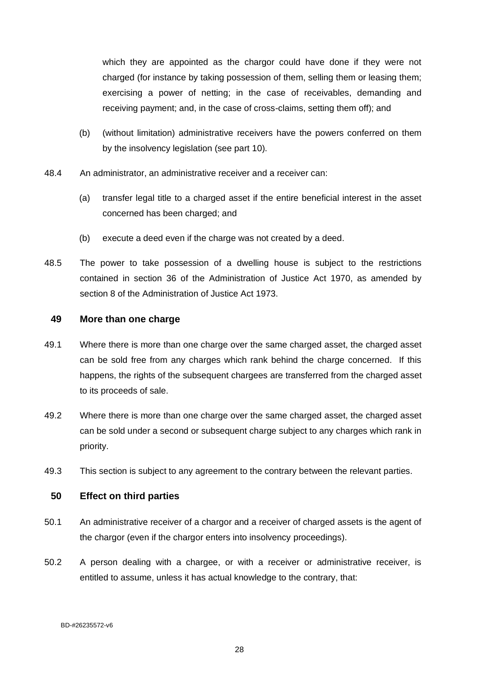which they are appointed as the chargor could have done if they were not charged (for instance by taking possession of them, selling them or leasing them; exercising a power of netting; in the case of receivables, demanding and receiving payment; and, in the case of cross-claims, setting them off); and

- (b) (without limitation) administrative receivers have the powers conferred on them by the insolvency legislation (see part 10).
- 48.4 An administrator, an administrative receiver and a receiver can:
	- (a) transfer legal title to a charged asset if the entire beneficial interest in the asset concerned has been charged; and
	- (b) execute a deed even if the charge was not created by a deed.
- 48.5 The power to take possession of a dwelling house is subject to the restrictions contained in section 36 of the Administration of Justice Act 1970, as amended by section 8 of the Administration of Justice Act 1973.

#### <span id="page-32-0"></span>**49 More than one charge**

- 49.1 Where there is more than one charge over the same charged asset, the charged asset can be sold free from any charges which rank behind the charge concerned. If this happens, the rights of the subsequent chargees are transferred from the charged asset to its proceeds of sale.
- 49.2 Where there is more than one charge over the same charged asset, the charged asset can be sold under a second or subsequent charge subject to any charges which rank in priority.
- 49.3 This section is subject to any agreement to the contrary between the relevant parties.

#### <span id="page-32-1"></span>**50 Effect on third parties**

- 50.1 An administrative receiver of a chargor and a receiver of charged assets is the agent of the chargor (even if the chargor enters into insolvency proceedings).
- 50.2 A person dealing with a chargee, or with a receiver or administrative receiver, is entitled to assume, unless it has actual knowledge to the contrary, that: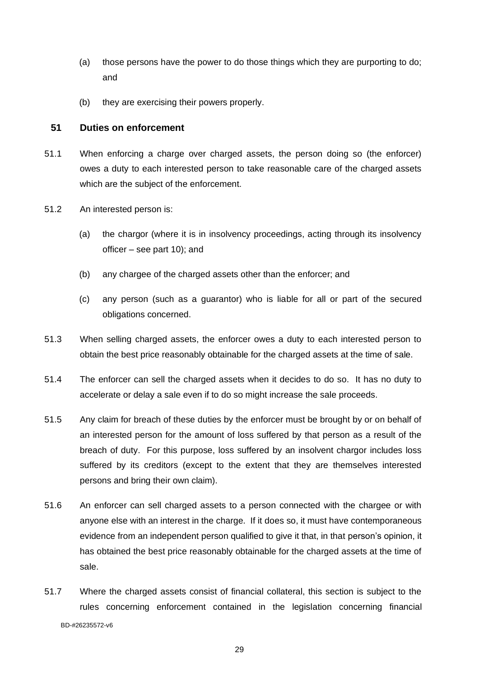- (a) those persons have the power to do those things which they are purporting to do; and
- (b) they are exercising their powers properly.

### <span id="page-33-0"></span>**51 Duties on enforcement**

- 51.1 When enforcing a charge over charged assets, the person doing so (the enforcer) owes a duty to each interested person to take reasonable care of the charged assets which are the subject of the enforcement.
- 51.2 An interested person is:
	- (a) the chargor (where it is in insolvency proceedings, acting through its insolvency officer – see part 10); and
	- (b) any chargee of the charged assets other than the enforcer; and
	- (c) any person (such as a guarantor) who is liable for all or part of the secured obligations concerned.
- 51.3 When selling charged assets, the enforcer owes a duty to each interested person to obtain the best price reasonably obtainable for the charged assets at the time of sale.
- 51.4 The enforcer can sell the charged assets when it decides to do so. It has no duty to accelerate or delay a sale even if to do so might increase the sale proceeds.
- 51.5 Any claim for breach of these duties by the enforcer must be brought by or on behalf of an interested person for the amount of loss suffered by that person as a result of the breach of duty. For this purpose, loss suffered by an insolvent chargor includes loss suffered by its creditors (except to the extent that they are themselves interested persons and bring their own claim).
- 51.6 An enforcer can sell charged assets to a person connected with the chargee or with anyone else with an interest in the charge. If it does so, it must have contemporaneous evidence from an independent person qualified to give it that, in that person's opinion, it has obtained the best price reasonably obtainable for the charged assets at the time of sale.
- BD-#26235572-v6 51.7 Where the charged assets consist of financial collateral, this section is subject to the rules concerning enforcement contained in the legislation concerning financial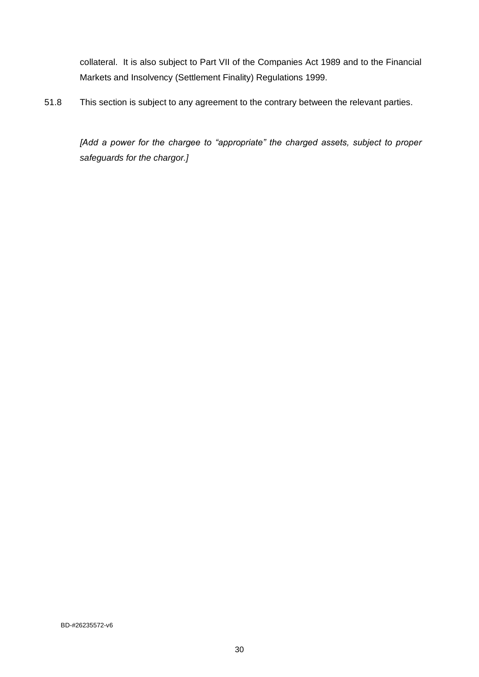collateral. It is also subject to Part VII of the Companies Act 1989 and to the Financial Markets and Insolvency (Settlement Finality) Regulations 1999.

51.8 This section is subject to any agreement to the contrary between the relevant parties.

*[Add a power for the chargee to "appropriate" the charged assets, subject to proper safeguards for the chargor.]*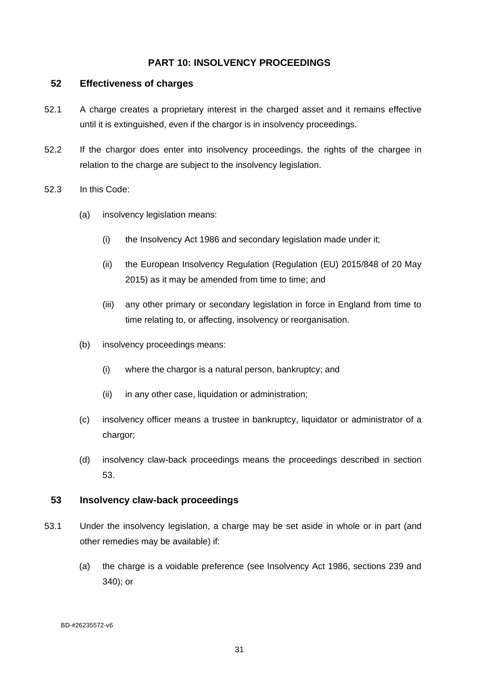### <span id="page-35-0"></span>**PART 10: INSOLVENCY PROCEEDINGS**

#### <span id="page-35-1"></span>**52 Effectiveness of charges**

- 52.1 A charge creates a proprietary interest in the charged asset and it remains effective until it is extinguished, even if the chargor is in insolvency proceedings.
- 52.2 If the chargor does enter into insolvency proceedings, the rights of the chargee in relation to the charge are subject to the insolvency legislation.
- 52.3 In this Code:
	- (a) insolvency legislation means:
		- (i) the Insolvency Act 1986 and secondary legislation made under it;
		- (ii) the European Insolvency Regulation (Regulation (EU) 2015/848 of 20 May 2015) as it may be amended from time to time; and
		- (iii) any other primary or secondary legislation in force in England from time to time relating to, or affecting, insolvency or reorganisation.
	- (b) insolvency proceedings means:
		- (i) where the chargor is a natural person, bankruptcy; and
		- (ii) in any other case, liquidation or administration;
	- (c) insolvency officer means a trustee in bankruptcy, liquidator or administrator of a chargor;
	- (d) insolvency claw-back proceedings means the proceedings described in section 53.

#### <span id="page-35-2"></span>**53 Insolvency claw-back proceedings**

- 53.1 Under the insolvency legislation, a charge may be set aside in whole or in part (and other remedies may be available) if:
	- (a) the charge is a voidable preference (see Insolvency Act 1986, sections 239 and 340); or